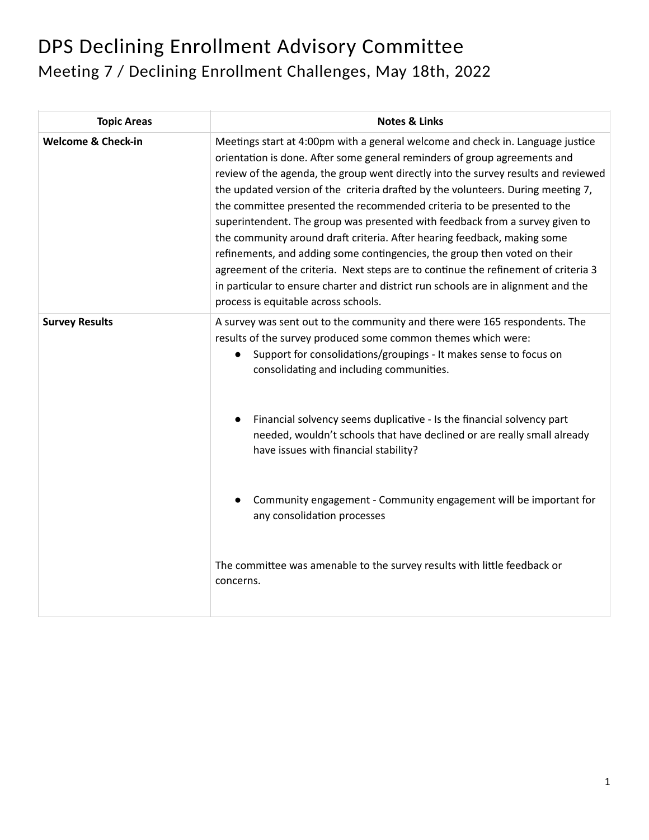## DPS Declining Enrollment Advisory Committee Meeting 7 / Declining Enrollment Challenges, May 18th, 2022

| <b>Topic Areas</b>            | <b>Notes &amp; Links</b>                                                                                                                                                                                                                                                                                                                                                                                                                                                                                                                                                                                                                                                                                                                                                                                                                                                     |
|-------------------------------|------------------------------------------------------------------------------------------------------------------------------------------------------------------------------------------------------------------------------------------------------------------------------------------------------------------------------------------------------------------------------------------------------------------------------------------------------------------------------------------------------------------------------------------------------------------------------------------------------------------------------------------------------------------------------------------------------------------------------------------------------------------------------------------------------------------------------------------------------------------------------|
| <b>Welcome &amp; Check-in</b> | Meetings start at 4:00pm with a general welcome and check in. Language justice<br>orientation is done. After some general reminders of group agreements and<br>review of the agenda, the group went directly into the survey results and reviewed<br>the updated version of the criteria drafted by the volunteers. During meeting 7,<br>the committee presented the recommended criteria to be presented to the<br>superintendent. The group was presented with feedback from a survey given to<br>the community around draft criteria. After hearing feedback, making some<br>refinements, and adding some contingencies, the group then voted on their<br>agreement of the criteria. Next steps are to continue the refinement of criteria 3<br>in particular to ensure charter and district run schools are in alignment and the<br>process is equitable across schools. |
| <b>Survey Results</b>         | A survey was sent out to the community and there were 165 respondents. The<br>results of the survey produced some common themes which were:<br>Support for consolidations/groupings - It makes sense to focus on<br>consolidating and including communities.<br>Financial solvency seems duplicative - Is the financial solvency part<br>needed, wouldn't schools that have declined or are really small already                                                                                                                                                                                                                                                                                                                                                                                                                                                             |
|                               | have issues with financial stability?<br>Community engagement - Community engagement will be important for<br>any consolidation processes<br>The committee was amenable to the survey results with little feedback or<br>concerns.                                                                                                                                                                                                                                                                                                                                                                                                                                                                                                                                                                                                                                           |
|                               |                                                                                                                                                                                                                                                                                                                                                                                                                                                                                                                                                                                                                                                                                                                                                                                                                                                                              |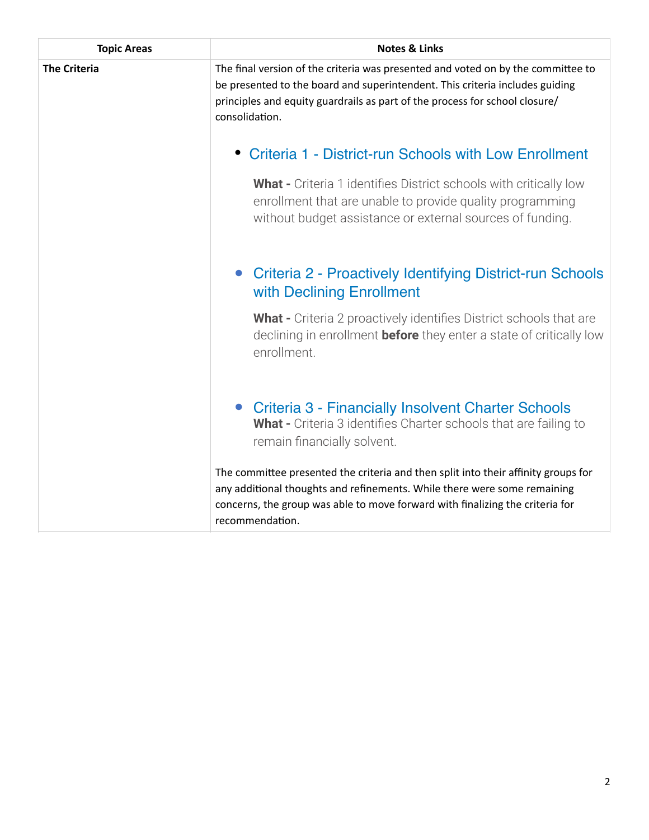| <b>Topic Areas</b>  | <b>Notes &amp; Links</b>                                                                                                                                                                                                                                           |
|---------------------|--------------------------------------------------------------------------------------------------------------------------------------------------------------------------------------------------------------------------------------------------------------------|
| <b>The Criteria</b> | The final version of the criteria was presented and voted on by the committee to<br>be presented to the board and superintendent. This criteria includes guiding<br>principles and equity guardrails as part of the process for school closure/<br>consolidation.  |
|                     | • Criteria 1 - District-run Schools with Low Enrollment                                                                                                                                                                                                            |
|                     | <b>What -</b> Criteria 1 identifies District schools with critically low<br>enrollment that are unable to provide quality programming<br>without budget assistance or external sources of funding.                                                                 |
|                     | Criteria 2 - Proactively Identifying District-run Schools<br>with Declining Enrollment                                                                                                                                                                             |
|                     | <b>What -</b> Criteria 2 proactively identifies District schools that are<br>declining in enrollment <b>before</b> they enter a state of critically low<br>enrollment.                                                                                             |
|                     | <b>Criteria 3 - Financially Insolvent Charter Schools</b><br>What - Criteria 3 identifies Charter schools that are failing to<br>remain financially solvent.                                                                                                       |
|                     | The committee presented the criteria and then split into their affinity groups for<br>any additional thoughts and refinements. While there were some remaining<br>concerns, the group was able to move forward with finalizing the criteria for<br>recommendation. |